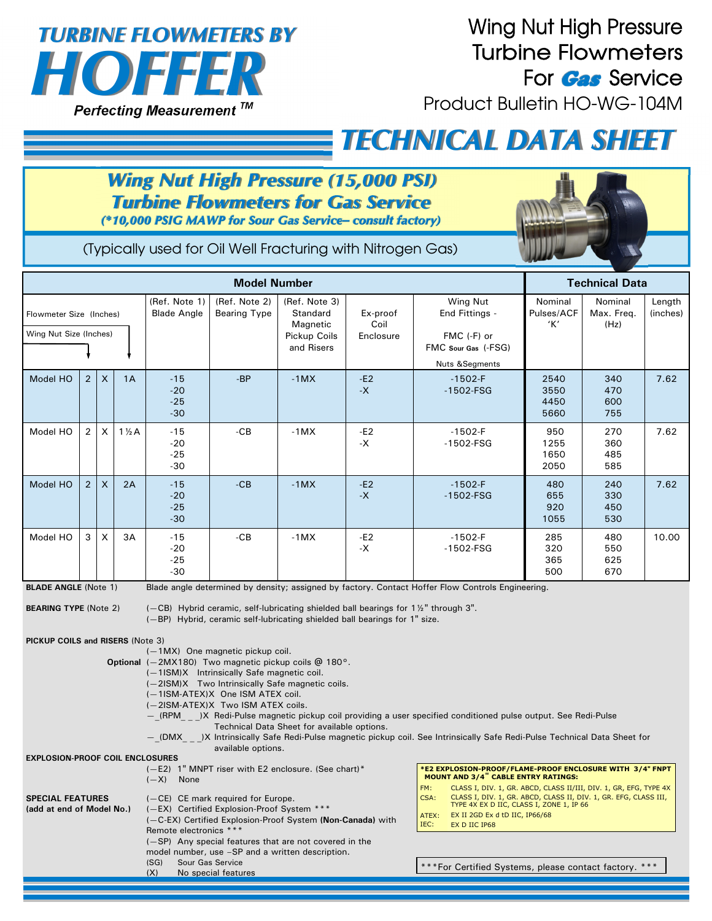

## **Wing Nut High Pressure Turbine Flowmeters** For **Gas** Service

Product Bulletin HO-WG-104M

## *TECHNICAL DATA SHEET*

## **Wing Nut High Pressure (15,000 PSI) Turbine Flowmeters for Gas Service**

(\*10,000 PSIG MAWP for Sour Gas Service-consult factory)



(Typically used for Oil Well Fracturing with Nitrogen Gas)

|                                                             |                |                           |                  |                                     | <b>Model Number</b>                  |                                                                                    |                  |                                                                                                   |                              | <b>Technical Data</b>         |                    |
|-------------------------------------------------------------|----------------|---------------------------|------------------|-------------------------------------|--------------------------------------|------------------------------------------------------------------------------------|------------------|---------------------------------------------------------------------------------------------------|------------------------------|-------------------------------|--------------------|
| Flowmeter Size (Inches)                                     |                |                           |                  | (Ref. Note 1)<br><b>Blade Angle</b> | (Ref. Note 2)<br><b>Bearing Type</b> | (Ref. Note 3)<br>Standard<br>Magnetic                                              | Ex-proof<br>Coil | Wing Nut<br>End Fittings -                                                                        | Nominal<br>Pulses/ACF<br>'К' | Nominal<br>Max. Freq.<br>(Hz) | Length<br>(inches) |
| Wing Nut Size (Inches)                                      |                |                           |                  |                                     |                                      | Pickup Coils<br>and Risers                                                         | Enclosure        | FMC (-F) or<br>FMC Sour Gas (-FSG)<br><b>Nuts &amp;Segments</b>                                   |                              |                               |                    |
| Model HO                                                    | $\overline{2}$ | $\boldsymbol{\mathsf{X}}$ | 1A               | $-15$<br>$-20$<br>$-25$<br>$-30$    | $-BP$                                | $-1MX$                                                                             | $-E2$<br>$-X$    | $-1502-F$<br>$-1502$ -FSG                                                                         | 2540<br>3550<br>4450<br>5660 | 340<br>470<br>600<br>755      | 7.62               |
| Model HO                                                    | $\overline{2}$ | X                         | $1\frac{1}{2}$ A | $-15$<br>$-20$<br>$-25$<br>$-30$    | $-CB$                                | $-1MX$                                                                             | $-E2$<br>-Х      | $-1502-F$<br>$-1502$ -FSG                                                                         | 950<br>1255<br>1650<br>2050  | 270<br>360<br>485<br>585      | 7.62               |
| Model HO                                                    | $\overline{2}$ | $\boldsymbol{\mathsf{X}}$ | 2A               | $-15$<br>$-20$<br>$-25$<br>$-30$    | $-CB$                                | $-1MX$                                                                             | $-E2$<br>$-X$    | $-1502-F$<br>$-1502$ -FSG                                                                         | 480<br>655<br>920<br>1055    | 240<br>330<br>450<br>530      | 7.62               |
| Model HO                                                    | 3              | X                         | 3A               | $-15$<br>$-20$<br>$-25$<br>$-30$    | $-CB$                                | $-1MX$                                                                             | $-E2$<br>$-X$    | $-1502-F$<br>$-1502$ -FSG                                                                         | 285<br>320<br>365<br>500     | 480<br>550<br>625<br>670      | 10.00              |
| <b>BLADE ANGLE (Note 1)</b><br><b>BEARING TYPE (Note 2)</b> |                |                           |                  |                                     |                                      | (-CB) Hybrid ceramic, self-lubricating shielded ball bearings for 1 %" through 3". |                  | Blade angle determined by density; assigned by factory. Contact Hoffer Flow Controls Engineering. |                              |                               |                    |
|                                                             |                |                           |                  |                                     |                                      |                                                                                    |                  |                                                                                                   |                              |                               |                    |

(—BP) Hybrid, ceramic self-lubricating shielded ball bearings for 1" size.

**PICKUP COILS and RISERS** (Note 3)

(—1MX) One magnetic pickup coil.

- **Optional** (—2MX180) Two magnetic pickup coils @ 180°.
	- (—1ISM)X Intrinsically Safe magnetic coil.
	- (—2ISM)X Two Intrinsically Safe magnetic coils.
	- (—1ISM-ATEX)X One ISM ATEX coil.
	- (—2ISM-ATEX)X Two ISM ATEX coils.
	- —\_(RPM\_ \_ \_)X Redi-Pulse magnetic pickup coil providing a user specified conditioned pulse output. See Redi-Pulse Technical Data Sheet for available options.
	- —\_(DMX\_ \_ \_)X Intrinsically Safe Redi-Pulse magnetic pickup coil. See Intrinsically Safe Redi-Pulse Technical Data Sheet for available options.

**EXPLOSION-PROOF COIL ENCLOSURES**

|                                                      | $(-E2)$ 1" MNPT riser with E2 enclosure. (See chart)*<br>$(-X)$<br>None                                                                                                                        | *E2 EXPLOSION-PROOF/FLAME-PROOF ENCLOSURE WITH 3/4" FNPT<br>MOUNT AND 3/4" CABLE ENTRY RATINGS:                                                                                                                                                                      |  |  |
|------------------------------------------------------|------------------------------------------------------------------------------------------------------------------------------------------------------------------------------------------------|----------------------------------------------------------------------------------------------------------------------------------------------------------------------------------------------------------------------------------------------------------------------|--|--|
| <b>SPECIAL FEATURES</b><br>(add at end of Model No.) | (-CE) CE mark required for Europe.<br>(-EX) Certified Explosion-Proof System ***<br>(-C-EX) Certified Explosion-Proof System (Non-Canada) with                                                 | CLASS I, DIV. 1, GR. ABCD, CLASS II/III, DIV. 1, GR, EFG, TYPE 4X<br>FM:<br>CLASS I, DIV. 1, GR. ABCD, CLASS II, DIV. 1, GR. EFG, CLASS III,<br>CSA:<br>TYPE 4X EX D IIC, CLASS I, ZONE 1, IP 66<br>EX II 2GD Ex d tD IIC, IP66/68<br>ATEX:<br>IEC:<br>EX D IIC IP68 |  |  |
|                                                      | Remote electronics ***<br>(-SP) Any special features that are not covered in the<br>model number, use -SP and a written description.<br>Sour Gas Service<br>(SG)<br>(X)<br>No special features | *** For Certified Systems, please contact factory. ***                                                                                                                                                                                                               |  |  |